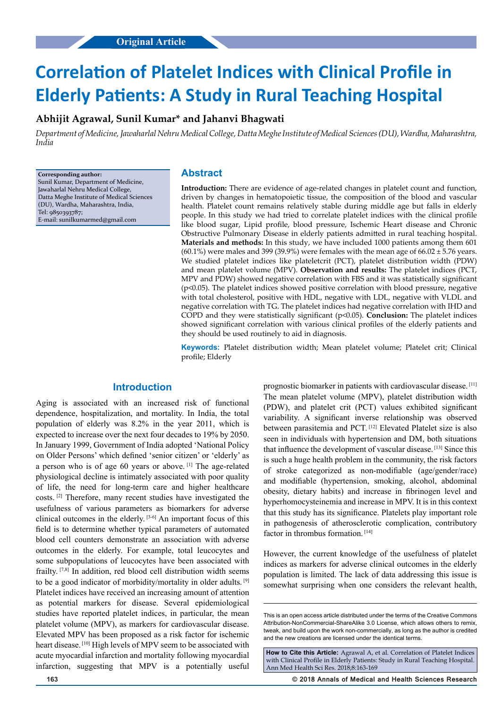# **Correlation of Platelet Indices with Clinical Profile in Elderly Patients: A Study in Rural Teaching Hospital**

# **Abhijit Agrawal, Sunil Kumar\* and Jahanvi Bhagwati**

*Department of Medicine, Jawaharlal Nehru Medical College, Datta Meghe Institute of Medical Sciences (DU), Wardha, Maharashtra, India*

**Corresponding author:** Sunil Kumar, Department of Medicine, Jawaharlal Nehru Medical College, Datta Meghe Institute of Medical Sciences (DU), Wardha, Maharashtra, India, Tel: 9850393787; E-mail: sunilkumarmed@gmail.com

## **Abstract**

**Introduction:** There are evidence of age-related changes in platelet count and function, driven by changes in hematopoietic tissue, the composition of the blood and vascular health. Platelet count remains relatively stable during middle age but falls in elderly people. In this study we had tried to correlate platelet indices with the clinical profile like blood sugar, Lipid profile, blood pressure, Ischemic Heart disease and Chronic Obstructive Pulmonary Disease in elderly patients admitted in rural teaching hospital. **Materials and methods:** In this study, we have included 1000 patients among them 601  $(60.1\%)$  were males and 399 (39.9%) were females with the mean age of 66.02 ± 5.76 years. We studied platelet indices like plateletcrit (PCT), platelet distribution width (PDW) and mean platelet volume (MPV). **Observation and results:** The platelet indices (PCT, MPV and PDW) showed negative correlation with FBS and it was statistically significant (p<0.05). The platelet indices showed positive correlation with blood pressure, negative with total cholesterol, positive with HDL, negative with LDL, negative with VLDL and negative correlation with TG. The platelet indices had negative correlation with IHD and COPD and they were statistically significant (p<0.05). **Conclusion:** The platelet indices showed significant correlation with various clinical profiles of the elderly patients and they should be used routinely to aid in diagnosis.

**Keywords:** Platelet distribution width; Mean platelet volume; Platelet crit; Clinical profile; Elderly

# **Introduction**

Aging is associated with an increased risk of functional dependence, hospitalization, and mortality. In India, the total population of elderly was 8.2% in the year 2011, which is expected to increase over the next four decades to 19% by 2050. In January 1999, Government of India adopted 'National Policy on Older Persons' which defined 'senior citizen' or 'elderly' as a person who is of age 60 years or above. [1] The age-related physiological decline is intimately associated with poor quality of life, the need for long-term care and higher healthcare costs. [2] Therefore, many recent studies have investigated the usefulness of various parameters as biomarkers for adverse clinical outcomes in the elderly. [3-6] An important focus of this field is to determine whether typical parameters of automated blood cell counters demonstrate an association with adverse outcomes in the elderly. For example, total leucocytes and some subpopulations of leucocytes have been associated with frailty. [7,8] In addition, red blood cell distribution width seems to be a good indicator of morbidity/mortality in older adults. [9] Platelet indices have received an increasing amount of attention as potential markers for disease. Several epidemiological studies have reported platelet indices, in particular, the mean platelet volume (MPV), as markers for cardiovascular disease. Elevated MPV has been proposed as a risk factor for ischemic heart disease. [10] High levels of MPV seem to be associated with acute myocardial infarction and mortality following myocardial infarction, suggesting that MPV is a potentially useful prognostic biomarker in patients with cardiovascular disease. [11] The mean platelet volume (MPV), platelet distribution width (PDW), and platelet crit (PCT) values exhibited significant variability. A significant inverse relationship was observed between parasitemia and PCT. [12] Elevated Platelet size is also seen in individuals with hypertension and DM, both situations that influence the development of vascular disease. [13] Since this is such a huge health problem in the community, the risk factors of stroke categorized as non-modifiable (age/gender/race) and modifiable (hypertension, smoking, alcohol, abdominal obesity, dietary habits) and increase in fibrinogen level and hyperhomocysteinemia and increase in MPV. It is in this context that this study has its significance. Platelets play important role in pathogenesis of atherosclerotic complication, contributory factor in thrombus formation.<sup>[14]</sup>

However, the current knowledge of the usefulness of platelet indices as markers for adverse clinical outcomes in the elderly population is limited. The lack of data addressing this issue is somewhat surprising when one considers the relevant health,

**How to Cite this Article:** Agrawal A, et al. Correlation of Platelet Indices with Clinical Profile in Elderly Patients: Study in Rural Teaching Hospital. Ann Med Health Sci Res. 2018;8:163-169

**163 © 2018 Annals of Medical and Health Sciences Research** 

This is an open access article distributed under the terms of the Creative Commons Attribution-NonCommercial-ShareAlike 3.0 License, which allows others to remix, tweak, and build upon the work non‑commercially, as long as the author is credited and the new creations are licensed under the identical terms.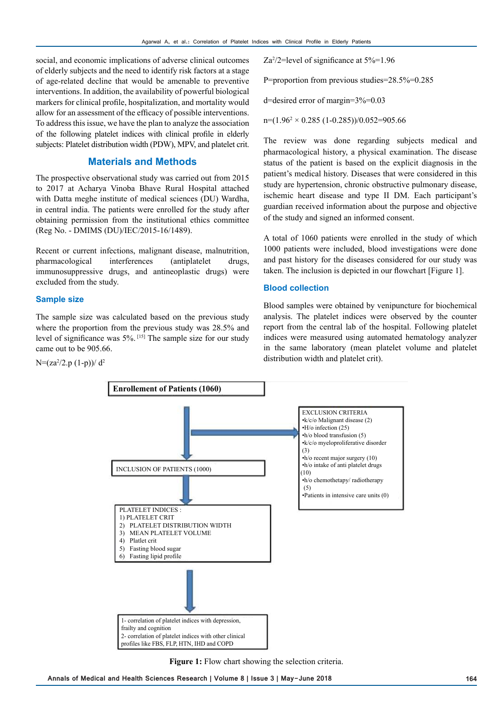social, and economic implications of adverse clinical outcomes of elderly subjects and the need to identify risk factors at a stage of age-related decline that would be amenable to preventive interventions. In addition, the availability of powerful biological markers for clinical profile, hospitalization, and mortality would allow for an assessment of the efficacy of possible interventions. To address this issue, we have the plan to analyze the association of the following platelet indices with clinical profile in elderly subjects: Platelet distribution width (PDW), MPV, and platelet crit.

## **Materials and Methods**

The prospective observational study was carried out from 2015 to 2017 at Acharya Vinoba Bhave Rural Hospital attached with Datta meghe institute of medical sciences (DU) Wardha, in central india. The patients were enrolled for the study after obtaining permission from the institutional ethics committee (Reg No. - DMIMS (DU)/IEC/2015-16/1489).

Recent or current infections, malignant disease, malnutrition, pharmacological interferences (antiplatelet drugs, immunosuppressive drugs, and antineoplastic drugs) were excluded from the study.

#### **Sample size**

The sample size was calculated based on the previous study where the proportion from the previous study was 28.5% and level of significance was 5%. [15] The sample size for our study came out to be 905.66.

$$
N=(za^2/2.p (1-p))/ d^2
$$

Za2 /2=level of significance at 5%=1.96

P=proportion from previous studies=28.5%=0.285

d=desired error of margin=3%=0.03

 $n=(1.96^2 \times 0.285 (1-0.285))/0.052=905.66$ 

The review was done regarding subjects medical and pharmacological history, a physical examination. The disease status of the patient is based on the explicit diagnosis in the patient's medical history. Diseases that were considered in this study are hypertension, chronic obstructive pulmonary disease, ischemic heart disease and type II DM. Each participant's guardian received information about the purpose and objective of the study and signed an informed consent.

A total of 1060 patients were enrolled in the study of which 1000 patients were included, blood investigations were done and past history for the diseases considered for our study was taken. The inclusion is depicted in our flowchart [Figure 1].

#### **Blood collection**

Blood samples were obtained by venipuncture for biochemical analysis. The platelet indices were observed by the counter report from the central lab of the hospital. Following platelet indices were measured using automated hematology analyzer in the same laboratory (mean platelet volume and platelet distribution width and platelet crit).



**Figure 1:** Flow chart showing the selection criteria.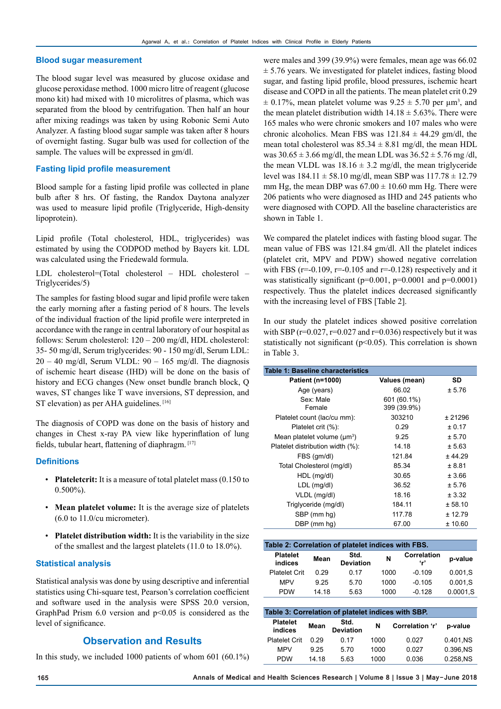#### **Blood sugar measurement**

The blood sugar level was measured by glucose oxidase and glucose peroxidase method. 1000 micro litre of reagent (glucose mono kit) had mixed with 10 microlitres of plasma, which was separated from the blood by centrifugation. Then half an hour after mixing readings was taken by using Robonic Semi Auto Analyzer. A fasting blood sugar sample was taken after 8 hours of overnight fasting. Sugar bulb was used for collection of the sample. The values will be expressed in gm/dl.

#### **Fasting lipid profile measurement**

Blood sample for a fasting lipid profile was collected in plane bulb after 8 hrs. Of fasting, the Randox Daytona analyzer was used to measure lipid profile (Triglyceride, High-density lipoprotein).

Lipid profile (Total cholesterol, HDL, triglycerides) was estimated by using the CODPOD method by Bayers kit. LDL was calculated using the Friedewald formula.

LDL cholesterol=(Total cholesterol – HDL cholesterol – Triglycerides/5)

The samples for fasting blood sugar and lipid profile were taken the early morning after a fasting period of 8 hours. The levels of the individual fraction of the lipid profile were interpreted in accordance with the range in central laboratory of our hospital as follows: Serum cholesterol: 120 – 200 mg/dl, HDL cholesterol: 35- 50 mg/dl, Serum triglycerides: 90 - 150 mg/dl, Serum LDL:  $20 - 40$  mg/dl, Serum VLDL:  $90 - 165$  mg/dl. The diagnosis of ischemic heart disease (IHD) will be done on the basis of history and ECG changes (New onset bundle branch block, Q waves, ST changes like T wave inversions, ST depression, and ST elevation) as per AHA guidelines. [16]

The diagnosis of COPD was done on the basis of history and changes in Chest x-ray PA view like hyperinflation of lung fields, tubular heart, flattening of diaphragm. [17]

#### **Definitions**

- **Plateletcrit:** It is a measure of total platelet mass (0.150 to 0.500%).
- **Mean platelet volume:** It is the average size of platelets (6.0 to 11.0/cu micrometer).
- **Platelet distribution width:** It is the variability in the size of the smallest and the largest platelets (11.0 to 18.0%).

#### **Statistical analysis**

Statistical analysis was done by using descriptive and inferential statistics using Chi-square test, Pearson's correlation coefficient and software used in the analysis were SPSS 20.0 version, GraphPad Prism  $6.0$  version and  $p<0.05$  is considered as the level of significance.

## **Observation and Results**

In this study, we included 1000 patients of whom 601 (60.1%)

were males and 399 (39.9%) were females, mean age was 66.02  $\pm$  5.76 years. We investigated for platelet indices, fasting blood sugar, and fasting lipid profile, blood pressures, ischemic heart disease and COPD in all the patients. The mean platelet crit 0.29  $\pm$  0.17%, mean platelet volume was 9.25  $\pm$  5.70 per  $\mu$ m<sup>3</sup>, and the mean platelet distribution width  $14.18 \pm 5.63\%$ . There were 165 males who were chronic smokers and 107 males who were chronic alcoholics. Mean FBS was  $121.84 \pm 44.29$  gm/dl, the mean total cholesterol was  $85.34 \pm 8.81$  mg/dl, the mean HDL was  $30.65 \pm 3.66$  mg/dl, the mean LDL was  $36.52 \pm 5.76$  mg/dl, the mean VLDL was  $18.16 \pm 3.2$  mg/dl, the mean triglyceride level was  $184.11 \pm 58.10$  mg/dl, mean SBP was  $117.78 \pm 12.79$ mm Hg, the mean DBP was  $67.00 \pm 10.60$  mm Hg. There were 206 patients who were diagnosed as IHD and 245 patients who were diagnosed with COPD. All the baseline characteristics are shown in Table 1.

We compared the platelet indices with fasting blood sugar. The mean value of FBS was 121.84 gm/dl. All the platelet indices (platelet crit, MPV and PDW) showed negative correlation with FBS ( $r=0.109$ ,  $r=0.105$  and  $r=0.128$ ) respectively and it was statistically significant (p=0.001, p=0.0001 and p=0.0001) respectively. Thus the platelet indices decreased significantly with the increasing level of FBS [Table 2].

In our study the platelet indices showed positive correlation with SBP ( $r=0.027$ ,  $r=0.027$  and  $r=0.036$ ) respectively but it was statistically not significant (p<0.05). This correlation is shown in Table 3.

| Table 1: Baseline characteristics |                            |         |
|-----------------------------------|----------------------------|---------|
| Patient (n=1000)                  | Values (mean)              | SD      |
| Age (years)                       | 66.02                      | ± 5.76  |
| Sex: Male<br>Female               | 601 (60.1%)<br>399 (39.9%) |         |
| Platelet count (lac/cu mm):       | 303210                     | ± 21296 |
| Platelet crit (%):                | 0.29                       | ± 0.17  |
| Mean platelet volume $(\mu m^3)$  | 9.25                       | ± 5.70  |
| Platelet distribution width (%):  | 14.18                      | ± 5.63  |
| FBS (gm/dl)                       | 121.84                     | ± 44.29 |
| Total Cholesterol (mg/dl)         | 85.34                      | ± 8.81  |
| HDL (mg/dl)                       | 30.65                      | ± 3.66  |
| LDL (mg/dl)                       | 36.52                      | ± 5.76  |
| VLDL (mg/dl)                      | 18.16                      | ± 3.32  |
| Triglyceride (mg/dl)              | 184.11                     | ± 58.10 |
| SBP (mm hg)                       | 117.78                     | ± 12.79 |
| DBP (mm hq)                       | 67.00                      | ± 10.60 |

| Table 2: Correlation of platelet indices with FBS. |       |                          |      |                          |          |  |  |
|----------------------------------------------------|-------|--------------------------|------|--------------------------|----------|--|--|
| <b>Platelet</b><br>indices                         | Mean  | Std.<br><b>Deviation</b> | N    | Correlation<br><b>'r</b> | p-value  |  |  |
| <b>Platelet Crit</b>                               | 0.29  | 0.17                     | 1000 | $-0.109$                 | 0.001.S  |  |  |
| <b>MPV</b>                                         | 9.25  | 5.70                     | 1000 | $-0.105$                 | 0.001, S |  |  |
| <b>PDW</b>                                         | 14.18 | 5.63                     | 1000 | $-0.128$                 | 0.0001.S |  |  |

| Table 3: Correlation of platelet indices with SBP. |       |                          |      |                 |           |  |  |
|----------------------------------------------------|-------|--------------------------|------|-----------------|-----------|--|--|
| <b>Platelet</b><br>indices                         | Mean  | Std.<br><b>Deviation</b> | N    | Correlation 'r' | p-value   |  |  |
| <b>Platelet Crit</b>                               | 0.29  | 0 17                     | 1000 | 0.027           | 0.401.NS  |  |  |
| <b>MPV</b>                                         | 9 25  | 570                      | 1000 | 0.027           | 0.396.NS  |  |  |
| <b>PDW</b>                                         | 14 18 | 5.63                     | 1000 | 0.036           | 0.258, NS |  |  |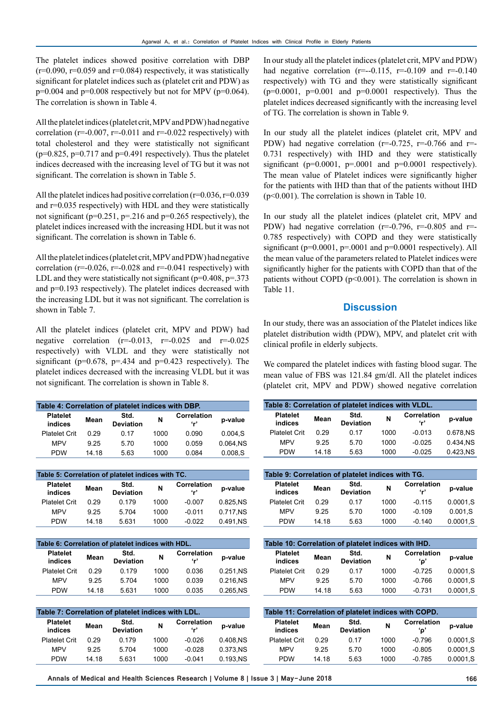The platelet indices showed positive correlation with DBP  $(r=0.090, r=0.059$  and  $r=0.084$ ) respectively, it was statistically significant for platelet indices such as (platelet crit and PDW) as  $p=0.004$  and  $p=0.008$  respectively but not for MPV ( $p=0.064$ ). The correlation is shown in Table 4.

All the platelet indices (platelet crit, MPV and PDW) had negative correlation ( $r=0.007$ ,  $r=0.011$  and  $r=0.022$  respectively) with total cholesterol and they were statistically not significant  $(p=0.825, p=0.717, and p=0.491$  respectively). Thus the platelet indices decreased with the increasing level of TG but it was not significant. The correlation is shown in Table 5.

All the platelet indices had positive correlation  $(r=0.036, r=0.039)$ and r=0.035 respectively) with HDL and they were statistically not significant ( $p=0.251$ ,  $p=.216$  and  $p=0.265$  respectively), the platelet indices increased with the increasing HDL but it was not significant. The correlation is shown in Table 6.

All the platelet indices (platelet crit, MPV and PDW) had negative correlation ( $r=0.026$ ,  $r=0.028$  and  $r=0.041$  respectively) with LDL and they were statistically not significant ( $p=0.408$ ,  $p=.373$ ) and p=0.193 respectively). The platelet indices decreased with the increasing LDL but it was not significant. The correlation is shown in Table 7.

All the platelet indices (platelet crit, MPV and PDW) had negative correlation  $(r=-0.013, r=-0.025$  and  $r=-0.025$ respectively) with VLDL and they were statistically not significant ( $p=0.678$ ,  $p=.434$  and  $p=0.423$  respectively). The platelet indices decreased with the increasing VLDL but it was not significant. The correlation is shown in Table 8.

| Table 4: Correlation of platelet indices with DBP. |       |                          |      |                                  |          |  |  |
|----------------------------------------------------|-------|--------------------------|------|----------------------------------|----------|--|--|
| <b>Platelet</b><br>indices                         | Mean  | Std.<br><b>Deviation</b> | N    | <b>Correlation</b><br><b>'م'</b> | p-value  |  |  |
| <b>Platelet Crit</b>                               | 0.29  | 0.17                     | 1000 | 0.090                            | 0.004.S  |  |  |
| <b>MPV</b>                                         | 9.25  | 5.70                     | 1000 | 0.059                            | 0.064.NS |  |  |
| <b>PDW</b>                                         | 14 18 | 5.63                     | 1000 | 0.084                            | 0.008.S  |  |  |

| Table 5: Correlation of platelet indices with TC. |       |                          |      |                                 |           |  |  |
|---------------------------------------------------|-------|--------------------------|------|---------------------------------|-----------|--|--|
| <b>Platelet</b><br>indices                        | Mean  | Std.<br><b>Deviation</b> | N    | <b>Correlation</b><br><b>پې</b> | p-value   |  |  |
| <b>Platelet Crit</b>                              | 0.29  | 0.179                    | 1000 | $-0.007$                        | 0.825.NS  |  |  |
| <b>MPV</b>                                        | 9 25  | 5.704                    | 1000 | $-0.011$                        | 0.717.NS  |  |  |
| <b>PDW</b>                                        | 14 18 | 5.631                    | 1000 | $-0.022$                        | 0.491, NS |  |  |

| Table 6: Correlation of platelet indices with HDL. |       |                          |      |                    |           |  |  |
|----------------------------------------------------|-------|--------------------------|------|--------------------|-----------|--|--|
| <b>Platelet</b><br>indices                         | Mean  | Std.<br><b>Deviation</b> | N    | Correlation<br>۰,۰ | p-value   |  |  |
| <b>Platelet Crit</b>                               | 0.29  | 0.179                    | 1000 | 0.036              | 0.251, NS |  |  |
| <b>MPV</b>                                         | 9 25  | 5.704                    | 1000 | 0.039              | 0.216.NS  |  |  |
| <b>PDW</b>                                         | 14 18 | 5.631                    | 1000 | 0.035              | 0.265.NS  |  |  |

| Table 7: Correlation of platelet indices with LDL. |       |                          |      |                               |           |  |  |
|----------------------------------------------------|-------|--------------------------|------|-------------------------------|-----------|--|--|
| <b>Platelet</b><br>indices                         | Mean  | Std.<br><b>Deviation</b> | N    | Correlation<br>4 <sub>r</sub> | p-value   |  |  |
| <b>Platelet Crit</b>                               | 0.29  | 0.179                    | 1000 | $-0.026$                      | 0.408.NS  |  |  |
| <b>MPV</b>                                         | 9 25  | 5.704                    | 1000 | $-0.028$                      | 0.373.NS  |  |  |
| <b>PDW</b>                                         | 14.18 | 5.631                    | 1000 | $-0.041$                      | 0.193, NS |  |  |

In our study all the platelet indices (platelet crit, MPV and PDW) had negative correlation  $(r=-0.115, r=-0.109$  and  $r=-0.140$ respectively) with TG and they were statistically significant  $(p=0.0001, p=0.001$  and  $p=0.0001$  respectively). Thus the platelet indices decreased significantly with the increasing level of TG. The correlation is shown in Table 9.

In our study all the platelet indices (platelet crit, MPV and PDW) had negative correlation ( $r=0.725$ ,  $r=0.766$  and  $r=$ 0.731 respectively) with IHD and they were statistically significant ( $p=0.0001$ ,  $p=.0001$  and  $p=0.0001$  respectively). The mean value of Platelet indices were significantly higher for the patients with IHD than that of the patients without IHD (p<0.001). The correlation is shown in Table 10.

In our study all the platelet indices (platelet crit, MPV and PDW) had negative correlation ( $r=0.796$ ,  $r=0.805$  and  $r=$ 0.785 respectively) with COPD and they were statistically significant ( $p=0.0001$ ,  $p=.0001$  and  $p=0.0001$  respectively). All the mean value of the parameters related to Platelet indices were significantly higher for the patients with COPD than that of the patients without COPD ( $p<0.001$ ). The correlation is shown in Table 11.

## **Discussion**

In our study, there was an association of the Platelet indices like platelet distribution width (PDW), MPV, and platelet crit with clinical profile in elderly subjects.

We compared the platelet indices with fasting blood sugar. The mean value of FBS was 121.84 gm/dl. All the platelet indices (platelet crit, MPV and PDW) showed negative correlation

| Table 8: Correlation of platelet indices with VLDL. |       |                          |      |                           |          |  |
|-----------------------------------------------------|-------|--------------------------|------|---------------------------|----------|--|
| <b>Platelet</b><br>indices                          | Mean  | Std.<br><b>Deviation</b> | N    | <b>Correlation</b><br>۰,۰ | p-value  |  |
| <b>Platelet Crit</b>                                | 0.29  | 0.17                     | 1000 | $-0.013$                  | 0.678.NS |  |
| <b>MPV</b>                                          | 9.25  | 5.70                     | 1000 | $-0.025$                  | 0.434.NS |  |
| <b>PDW</b>                                          | 14.18 | 5.63                     | 1000 | $-0.025$                  | 0.423.NS |  |

| Table 9: Correlation of platelet indices with TG. |       |                          |      |                             |              |  |  |
|---------------------------------------------------|-------|--------------------------|------|-----------------------------|--------------|--|--|
| <b>Platelet</b><br>indices                        | Mean  | Std.<br><b>Deviation</b> | N    | Correlation<br>$\mathbf{r}$ | p-value      |  |  |
| <b>Platelet Crit</b>                              | 0.29  | 0.17                     | 1000 | $-0.115$                    | 0.0001.S     |  |  |
| <b>MPV</b>                                        | 9.25  | 5.70                     | 1000 | $-0.109$                    | 0.001.S      |  |  |
| <b>PDW</b>                                        | 14 18 | 5.63                     | 1000 | $-0.140$                    | $0.0001$ , S |  |  |

| Table 10: Correlation of platelet indices with IHD. |       |                          |      |                    |          |  |  |
|-----------------------------------------------------|-------|--------------------------|------|--------------------|----------|--|--|
| <b>Platelet</b><br>indices                          | Mean  | Std.<br><b>Deviation</b> | N    | Correlation<br>'ο' | p-value  |  |  |
| <b>Platelet Crit</b>                                | 0.29  | 0.17                     | 1000 | $-0.725$           | 0.0001.S |  |  |
| <b>MPV</b>                                          | 9.25  | 5.70                     | 1000 | $-0.766$           | 0.0001.S |  |  |
| <b>PDW</b>                                          | 14 18 | 5.63                     | 1000 | $-0.731$           | 0.0001.S |  |  |

| Table 11: Correlation of platelet indices with COPD. |       |                          |      |                           |           |  |  |
|------------------------------------------------------|-------|--------------------------|------|---------------------------|-----------|--|--|
| <b>Platelet</b><br>indices                           | Mean  | Std.<br><b>Deviation</b> | N    | <b>Correlation</b><br>'ο' | p-value   |  |  |
| <b>Platelet Crit</b>                                 | 0.29  | 0 17                     | 1000 | $-0.796$                  | 0.0001.S  |  |  |
| <b>MPV</b>                                           | 9.25  | 5.70                     | 1000 | $-0.805$                  | 0.0001.S  |  |  |
| <b>PDW</b>                                           | 14 18 | 5.63                     | 1000 | $-0.785$                  | 0.0001, S |  |  |

**Annals of Medical and Health Sciences Research | Volume 8 | Issue 3 | May-June 2018 166**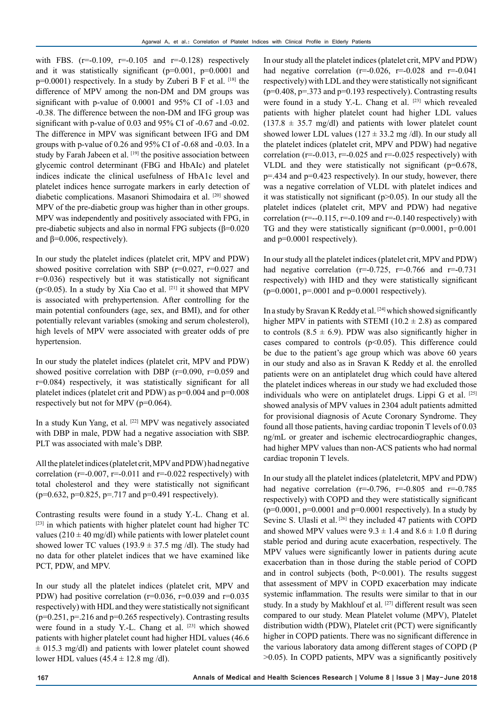with FBS.  $(r=-0.109, r=-0.105, and r=-0.128)$  respectively and it was statistically significant  $(p=0.001, p=0.0001, q=0.0001)$ p=0.0001) respectively. In a study by Zuberi B F et al. [18] the difference of MPV among the non-DM and DM groups was significant with p-value of 0.0001 and 95% CI of -1.03 and -0.38. The difference between the non-DM and IFG group was significant with p-value of 0.03 and 95% CI of -0.67 and -0.02. The difference in MPV was significant between IFG and DM groups with p-value of 0.26 and 95% CI of -0.68 and -0.03. In a study by Farah Jabeen et al. [19] the positive association between glycemic control determinant (FBG and HbAIc) and platelet indices indicate the clinical usefulness of HbA1c level and platelet indices hence surrogate markers in early detection of diabetic complications. Masanori Shimodaira et al. [20] showed MPV of the pre-diabetic group was higher than in other groups. MPV was independently and positively associated with FPG, in pre-diabetic subjects and also in normal FPG subjects  $(\beta=0.020)$ and  $\beta$ =0.006, respectively).

In our study the platelet indices (platelet crit, MPV and PDW) showed positive correlation with SBP  $(r=0.027, r=0.027,$  and r=0.036) respectively but it was statistically not significant ( $p$ <0.05). In a study by Xia Cao et al. <sup>[21]</sup> it showed that MPV is associated with prehypertension. After controlling for the main potential confounders (age, sex, and BMI), and for other potentially relevant variables (smoking and serum cholesterol), high levels of MPV were associated with greater odds of pre hypertension.

In our study the platelet indices (platelet crit, MPV and PDW) showed positive correlation with DBP ( $r=0.090$ ,  $r=0.059$  and r=0.084) respectively, it was statistically significant for all platelet indices (platelet crit and PDW) as p=0.004 and p=0.008 respectively but not for MPV (p=0.064).

In a study Kun Yang, et al. [22] MPV was negatively associated with DBP in male, PDW had a negative association with SBP. PLT was associated with male's DBP.

All the platelet indices (platelet crit, MPV and PDW) had negative correlation ( $r=-0.007$ ,  $r=-0.011$  and  $r=-0.022$  respectively) with total cholesterol and they were statistically not significant  $(p=0.632, p=0.825, p=.717, and p=0.491$  respectively).

Contrasting results were found in a study Y.-L. Chang et al.  $[23]$  in which patients with higher platelet count had higher TC values ( $210 \pm 40$  mg/dl) while patients with lower platelet count showed lower TC values (193.9  $\pm$  37.5 mg/dl). The study had no data for other platelet indices that we have examined like PCT, PDW, and MPV.

In our study all the platelet indices (platelet crit, MPV and PDW) had positive correlation ( $r=0.036$ ,  $r=0.039$  and  $r=0.035$ respectively) with HDL and they were statistically not significant  $(p=0.251, p=.216$  and  $p=0.265$  respectively). Contrasting results were found in a study Y.-L. Chang et al. [23] which showed patients with higher platelet count had higher HDL values (46.6  $\pm$  015.3 mg/dl) and patients with lower platelet count showed lower HDL values  $(45.4 \pm 12.8 \text{ mg}/\text{dl})$ .

In our study all the platelet indices (platelet crit, MPV and PDW) had negative correlation ( $r=0.026$ ,  $r=0.028$  and  $r=0.041$ respectively) with LDL and they were statistically not significant  $(p=0.408, p=.373$  and  $p=0.193$  respectively). Contrasting results were found in a study Y.-L. Chang et al. [23] which revealed patients with higher platelet count had higher LDL values  $(137.8 \pm 35.7 \text{ mg/dl})$  and patients with lower platelet count showed lower LDL values ( $127 \pm 33.2$  mg/dl). In our study all the platelet indices (platelet crit, MPV and PDW) had negative correlation ( $r=0.013$ ,  $r=0.025$  and  $r=0.025$  respectively) with VLDL and they were statistically not significant (p=0.678, p=.434 and p=0.423 respectively). In our study, however, there was a negative correlation of VLDL with platelet indices and it was statistically not significant (p>0.05). In our study all the platelet indices (platelet crit, MPV and PDW) had negative correlation ( $r=-0.115$ ,  $r=-0.109$  and  $r=-0.140$  respectively) with TG and they were statistically significant (p=0.0001, p=0.001 and p=0.0001 respectively).

In our study all the platelet indices (platelet crit, MPV and PDW) had negative correlation ( $r=0.725$ ,  $r=0.766$  and  $r=0.731$ respectively) with IHD and they were statistically significant  $(p=0.0001, p=.0001$  and  $p=0.0001$  respectively).

In a study by Sravan K Reddy et al. [24] which showed significantly higher MPV in patients with STEMI (10.2  $\pm$  2.8) as compared to controls  $(8.5 \pm 6.9)$ . PDW was also significantly higher in cases compared to controls  $(p<0.05)$ . This difference could be due to the patient's age group which was above 60 years in our study and also as in Sravan K Reddy et al. the enrolled patients were on an antiplatelet drug which could have altered the platelet indices whereas in our study we had excluded those individuals who were on antiplatelet drugs. Lippi G et al. [25] showed analysis of MPV values in 2304 adult patients admitted for provisional diagnosis of Acute Coronary Syndrome. They found all those patients, having cardiac troponin T levels of 0.03 ng/mL or greater and ischemic electrocardiographic changes, had higher MPV values than non-ACS patients who had normal cardiac troponin T levels.

In our study all the platelet indices (plateletcrit, MPV and PDW) had negative correlation ( $r=0.796$ ,  $r=0.805$  and  $r=0.785$ respectively) with COPD and they were statistically significant  $(p=0.0001, p=0.0001$  and  $p=0.0001$  respectively). In a study by Sevinc S. Ulasli et al. [26] they included 47 patients with COPD and showed MPV values were  $9.3 \pm 1.4$  and  $8.6 \pm 1.0$  fl during stable period and during acute exacerbation, respectively. The MPV values were significantly lower in patients during acute exacerbation than in those during the stable period of COPD and in control subjects (both, P<0.001). The results suggest that assessment of MPV in COPD exacerbation may indicate systemic inflammation. The results were similar to that in our study. In a study by Makhlouf et al. <sup>[27]</sup> different result was seen compared to our study. Mean Platelet volume (MPV), Platelet distribution width (PDW), Platelet crit (PCT) were significantly higher in COPD patients. There was no significant difference in the various laboratory data among different stages of COPD (P >0.05). In COPD patients, MPV was a significantly positively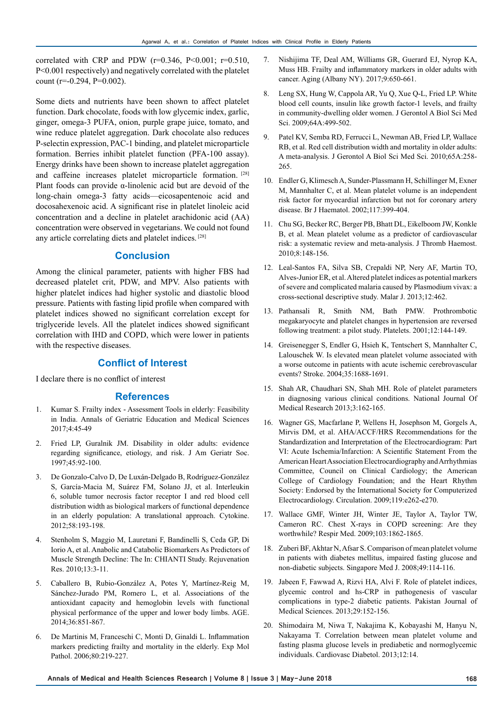correlated with CRP and PDW ( $r=0.346$ ,  $P<0.001$ ;  $r=0.510$ , P<0.001 respectively) and negatively correlated with the platelet count ( $r=-0.294$ ,  $P=0.002$ ).

Some diets and nutrients have been shown to affect platelet function. Dark chocolate, foods with low glycemic index, garlic, ginger, omega-3 PUFA, onion, purple grape juice, tomato, and wine reduce platelet aggregation. Dark chocolate also reduces P-selectin expression, PAC-1 binding, and platelet microparticle formation. Berries inhibit platelet function (PFA-100 assay). Energy drinks have been shown to increase platelet aggregation and caffeine increases platelet microparticle formation. [28] Plant foods can provide  $\alpha$ -linolenic acid but are devoid of the long-chain omega-3 fatty acids—eicosapentenoic acid and docosahexenoic acid. A significant rise in platelet linoleic acid concentration and a decline in platelet arachidonic acid (AA) concentration were observed in vegetarians. We could not found any article correlating diets and platelet indices. [28]

# **Conclusion**

Among the clinical parameter, patients with higher FBS had decreased platelet crit, PDW, and MPV. Also patients with higher platelet indices had higher systolic and diastolic blood pressure. Patients with fasting lipid profile when compared with platelet indices showed no significant correlation except for triglyceride levels. All the platelet indices showed significant correlation with IHD and COPD, which were lower in patients with the respective diseases.

## **Conflict of Interest**

I declare there is no conflict of interest

## **References**

- 1. Kumar S. Frailty index Assessment Tools in elderly: Feasibility in India. Annals of Geriatric Education and Medical Sciences 2017;4:45-49
- 2. Fried LP, Guralnik JM. Disability in older adults: evidence regarding significance, etiology, and risk. J Am Geriatr Soc. 1997;45:92-100.
- 3. De Gonzalo-Calvo D, De Luxán-Delgado B, Rodríguez-González S, García-Macia M, Suárez FM, Solano JJ, et al. Interleukin 6, soluble tumor necrosis factor receptor I and red blood cell distribution width as biological markers of functional dependence in an elderly population: A translational approach. Cytokine. 2012;58:193-198.
- 4. Stenholm S, Maggio M, Lauretani F, Bandinelli S, Ceda GP, Di Iorio A, et al. Anabolic and Catabolic Biomarkers As Predictors of Muscle Strength Decline: The In: CHIANTI Study. Rejuvenation Res. 2010;13:3-11.
- 5. Caballero B, Rubio-González A, Potes Y, Martínez-Reig M, Sánchez-Jurado PM, Romero L, et al. Associations of the antioxidant capacity and hemoglobin levels with functional physical performance of the upper and lower body limbs. AGE. 2014;36:851-867.
- 6. De Martinis M, Franceschi C, Monti D, Ginaldi L. Inflammation markers predicting frailty and mortality in the elderly. Exp Mol Pathol. 2006;80:219-227.
- 7. Nishijima TF, Deal AM, Williams GR, Guerard EJ, Nyrop KA, Muss HB. Frailty and inflammatory markers in older adults with cancer. Aging (Albany NY). 2017;9:650-661.
- 8. Leng SX, Hung W, Cappola AR, Yu Q, Xue Q-L, Fried LP. White blood cell counts, insulin like growth factor-1 levels, and frailty in community-dwelling older women. J Gerontol A Biol Sci Med Sci. 2009;64A:499-502.
- 9. Patel KV, Semba RD, Ferrucci L, Newman AB, Fried LP, Wallace RB, et al. Red cell distribution width and mortality in older adults: A meta-analysis. J Gerontol A Biol Sci Med Sci. 2010;65A:258- 265.
- 10. Endler G, Klimesch A, Sunder-Plassmann H, Schillinger M, Exner M, Mannhalter C, et al. Mean platelet volume is an independent risk factor for myocardial infarction but not for coronary artery disease. Br J Haematol. 2002;117:399-404.
- 11. Chu SG, Becker RC, Berger PB, Bhatt DL, Eikelboom JW, Konkle B, et al. Mean platelet volume as a predictor of cardiovascular risk: a systematic review and meta-analysis. J Thromb Haemost. 2010;8:148-156.
- 12. Leal-Santos FA, Silva SB, Crepaldi NP, Nery AF, Martin TO, Alves-Junior ER, et al. Altered platelet indices as potential markers of severe and complicated malaria caused by Plasmodium vivax: a cross-sectional descriptive study. Malar J. 2013;12:462.
- 13. Pathansali R, Smith NM, Bath PMW. Prothrombotic megakaryocyte and platelet changes in hypertension are reversed following treatment: a pilot study. Platelets. 2001;12:144-149.
- 14. Greisenegger S, Endler G, Hsieh K, Tentschert S, Mannhalter C, Lalouschek W. Is elevated mean platelet volume associated with a worse outcome in patients with acute ischemic cerebrovascular events? Stroke. 2004;35:1688-1691.
- 15. Shah AR, Chaudhari SN, Shah MH. Role of platelet parameters in diagnosing various clinical conditions. National Journal Of Medical Research 2013;3:162-165.
- 16. Wagner GS, Macfarlane P, Wellens H, Josephson M, Gorgels A, Mirvis DM, et al. AHA/ACCF/HRS Recommendations for the Standardization and Interpretation of the Electrocardiogram: Part VI: Acute Ischemia/Infarction: A Scientific Statement From the American Heart Association Electrocardiography and Arrhythmias Committee, Council on Clinical Cardiology; the American College of Cardiology Foundation; and the Heart Rhythm Society: Endorsed by the International Society for Computerized Electrocardiology. Circulation. 2009;119:e262-e270.
- 17. Wallace GMF, Winter JH, Winter JE, Taylor A, Taylor TW, Cameron RC. Chest X-rays in COPD screening: Are they worthwhile? Respir Med. 2009;103:1862-1865.
- 18. Zuberi BF, Akhtar N, Afsar S. Comparison of mean platelet volume in patients with diabetes mellitus, impaired fasting glucose and non-diabetic subjects. Singapore Med J. 2008;49:114-116.
- 19. Jabeen F, Fawwad A, Rizvi HA, Alvi F. Role of platelet indices, glycemic control and hs-CRP in pathogenesis of vascular complications in type-2 diabetic patients. Pakistan Journal of Medical Sciences. 2013;29:152-156.
- 20. Shimodaira M, Niwa T, Nakajima K, Kobayashi M, Hanyu N, Nakayama T. Correlation between mean platelet volume and fasting plasma glucose levels in prediabetic and normoglycemic individuals. Cardiovasc Diabetol. 2013;12:14.